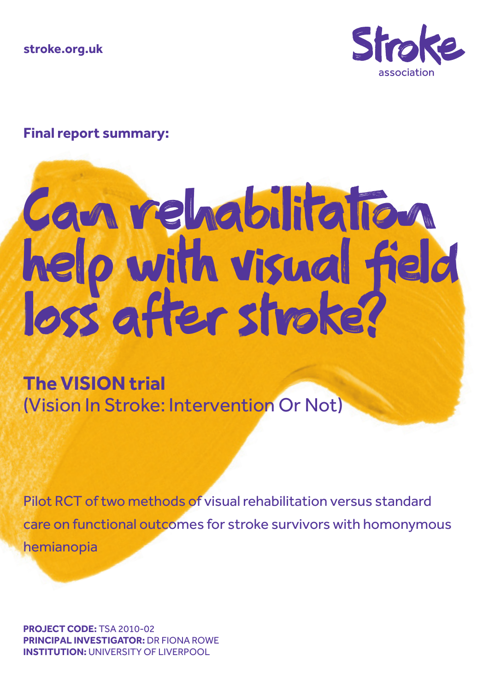**stroke.org.uk**



## **Final report summary:**

# Can rehabilitation help with visual field loss after stroke?

**The VISION trial**  (Vision In Stroke: Intervention Or Not)

Pilot RCT of two methods of visual rehabilitation versus standard care on functional outcomes for stroke survivors with homonymous hemianopia

**PROJECT CODE:** TSA 2010-02 **PRINCIPAL INVESTIGATOR:** DR FIONA ROWE **INSTITUTION:** UNIVERSITY OF LIVERPOOL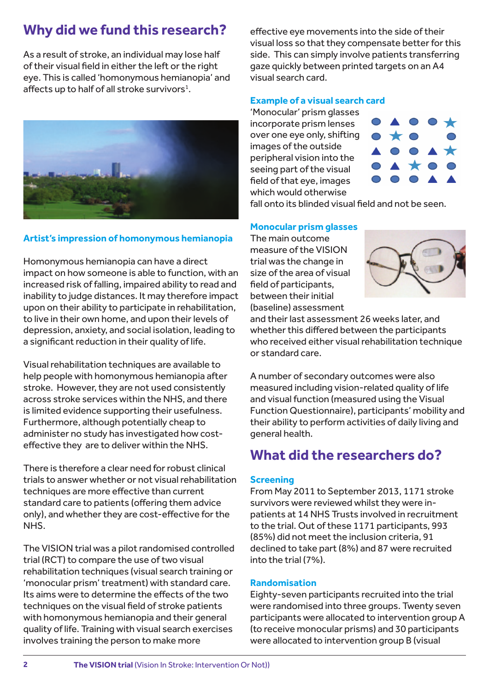# **Why did we fund this research?**

As a result of stroke, an individual may lose half of their visual field in either the left or the right eye. This is called 'homonymous hemianopia' and affects up to half of all stroke survivors $<sup>1</sup>$ .</sup>



## **Artist's impression of homonymous hemianopia**

Homonymous hemianopia can have a direct impact on how someone is able to function, with an increased risk of falling, impaired ability to read and inability to judge distances. It may therefore impact upon on their ability to participate in rehabilitation, to live in their own home, and upon their levels of depression, anxiety, and social isolation, leading to a significant reduction in their quality of life.

Visual rehabilitation techniques are available to help people with homonymous hemianopia after stroke. However, they are not used consistently across stroke services within the NHS, and there is limited evidence supporting their usefulness. Furthermore, although potentially cheap to administer no study has investigated how costeffective they are to deliver within the NHS.

There is therefore a clear need for robust clinical trials to answer whether or not visual rehabilitation techniques are more effective than current standard care to patients (offering them advice only), and whether they are cost-effective for the NHS.

The VISION trial was a pilot randomised controlled trial (RCT) to compare the use of two visual rehabilitation techniques (visual search training or 'monocular prism' treatment) with standard care. Its aims were to determine the effects of the two techniques on the visual field of stroke patients with homonymous hemianopia and their general quality of life. Training with visual search exercises involves training the person to make more

effective eye movements into the side of their visual loss so that they compensate better for this side. This can simply involve patients transferring gaze quickly between printed targets on an A4 visual search card.

## **Example of a visual search card**

'Monocular' prism glasses incorporate prism lenses over one eye only, shifting images of the outside peripheral vision into the seeing part of the visual field of that eye, images which would otherwise



fall onto its blinded visual field and not be seen.

#### **Monocular prism glasses**

The main outcome measure of the VISION trial was the change in size of the area of visual field of participants, between their initial (baseline) assessment



and their last assessment 26 weeks later, and whether this differed between the participants who received either visual rehabilitation technique or standard care.

A number of secondary outcomes were also measured including vision-related quality of life and visual function (measured using the Visual Function Questionnaire), participants' mobility and their ability to perform activities of daily living and general health.

## **What did the researchers do?**

#### **Screening**

From May 2011 to September 2013, 1171 stroke survivors were reviewed whilst they were inpatients at 14 NHS Trusts involved in recruitment to the trial. Out of these 1171 participants, 993 (85%) did not meet the inclusion criteria, 91 declined to take part (8%) and 87 were recruited into the trial (7%).

#### **Randomisation**

Eighty-seven participants recruited into the trial were randomised into three groups. Twenty seven participants were allocated to intervention group A (to receive monocular prisms) and 30 participants were allocated to intervention group B (visual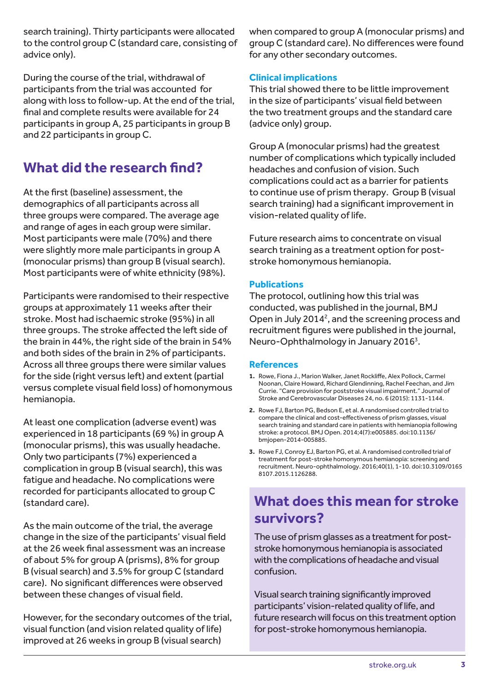search training). Thirty participants were allocated to the control group C (standard care, consisting of advice only).

During the course of the trial, withdrawal of participants from the trial was accounted for along with loss to follow-up. At the end of the trial, final and complete results were available for 24 participants in group A, 25 participants in group B and 22 participants in group C.

# **What did the research find?**

At the first (baseline) assessment, the demographics of all participants across all three groups were compared. The average age and range of ages in each group were similar. Most participants were male (70%) and there were slightly more male participants in group A (monocular prisms) than group B (visual search). Most participants were of white ethnicity (98%).

Participants were randomised to their respective groups at approximately 11 weeks after their stroke. Most had ischaemic stroke (95%) in all three groups. The stroke affected the left side of the brain in 44%, the right side of the brain in 54% and both sides of the brain in 2% of participants. Across all three groups there were similar values for the side (right versus left) and extent (partial versus complete visual field loss) of homonymous hemianopia.

At least one complication (adverse event) was experienced in 18 participants (69 %) in group A (monocular prisms), this was usually headache. Only two participants (7%) experienced a complication in group B (visual search), this was fatigue and headache. No complications were recorded for participants allocated to group C (standard care).

As the main outcome of the trial, the average change in the size of the participants' visual field at the 26 week final assessment was an increase of about 5% for group A (prisms), 8% for group B (visual search) and 3.5% for group C (standard care). No significant differences were observed between these changes of visual field.

However, for the secondary outcomes of the trial, visual function (and vision related quality of life) improved at 26 weeks in group B (visual search)

when compared to group A (monocular prisms) and group C (standard care). No differences were found for any other secondary outcomes.

## **Clinical implications**

This trial showed there to be little improvement in the size of participants' visual field between the two treatment groups and the standard care (advice only) group.

Group A (monocular prisms) had the greatest number of complications which typically included headaches and confusion of vision. Such complications could act as a barrier for patients to continue use of prism therapy. Group B (visual search training) had a significant improvement in vision-related quality of life.

Future research aims to concentrate on visual search training as a treatment option for poststroke homonymous hemianopia.

#### **Publications**

The protocol, outlining how this trial was conducted, was published in the journal, BMJ Open in July 2014<sup>2</sup>, and the screening process and recruitment figures were published in the journal, Neuro-Ophthalmology in January 2016<sup>3</sup>.

#### **References**

- **1.** Rowe, Fiona J., Marion Walker, Janet Rockliffe, Alex Pollock, Carmel Noonan, Claire Howard, Richard Glendinning, Rachel Feechan, and Jim Currie. "Care provision for poststroke visual impairment." Journal of Stroke and Cerebrovascular Diseases 24, no. 6 (2015): 1131-1144.
- **2.** Rowe FJ, Barton PG, Bedson E, et al. A randomised controlled trial to compare the clinical and cost-effectiveness of prism glasses, visual search training and standard care in patients with hemianopia following stroke: a protocol. BMJ Open. 2014;4(7):e005885. doi:10.1136/ bmjopen-2014-005885.
- **3.** Rowe FJ, Conroy EJ, Barton PG, et al. A randomised controlled trial of treatment for post-stroke homonymous hemianopia: screening and recruitment. Neuro-ophthalmology. 2016;40(1), 1-10. doi:10.3109/0165 8107.2015.1126288.

# **What does this mean for stroke survivors?**

The use of prism glasses as a treatment for poststroke homonymous hemianopia is associated with the complications of headache and visual confusion.

Visual search training significantly improved participants' vision-related quality of life, and future research will focus on this treatment option for post-stroke homonymous hemianopia.